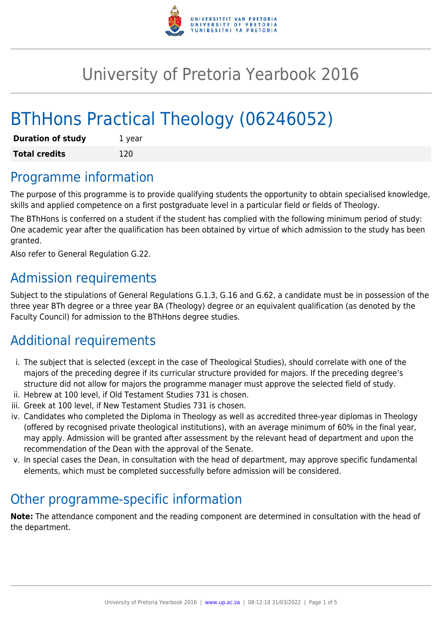

# University of Pretoria Yearbook 2016

# BThHons Practical Theology (06246052)

| <b>Duration of study</b> | 1 year |
|--------------------------|--------|
| <b>Total credits</b>     | 120    |

## Programme information

The purpose of this programme is to provide qualifying students the opportunity to obtain specialised knowledge, skills and applied competence on a first postgraduate level in a particular field or fields of Theology.

The BThHons is conferred on a student if the student has complied with the following minimum period of study: One academic year after the qualification has been obtained by virtue of which admission to the study has been granted.

Also refer to General Regulation G.22.

### Admission requirements

Subject to the stipulations of General Regulations G.1.3, G.16 and G.62, a candidate must be in possession of the three year BTh degree or a three year BA (Theology) degree or an equivalent qualification (as denoted by the Faculty Council) for admission to the BThHons degree studies.

# Additional requirements

- i. The subject that is selected (except in the case of Theological Studies), should correlate with one of the majors of the preceding degree if its curricular structure provided for majors. If the preceding degree's structure did not allow for majors the programme manager must approve the selected field of study.
- ii. Hebrew at 100 level, if Old Testament Studies 731 is chosen.
- iii. Greek at 100 level, if New Testament Studies 731 is chosen.
- iv. Candidates who completed the Diploma in Theology as well as accredited three-year diplomas in Theology (offered by recognised private theological institutions), with an average minimum of 60% in the final year, may apply. Admission will be granted after assessment by the relevant head of department and upon the recommendation of the Dean with the approval of the Senate.
- v. In special cases the Dean, in consultation with the head of department, may approve specific fundamental elements, which must be completed successfully before admission will be considered.

# Other programme-specific information

**Note:** The attendance component and the reading component are determined in consultation with the head of the department.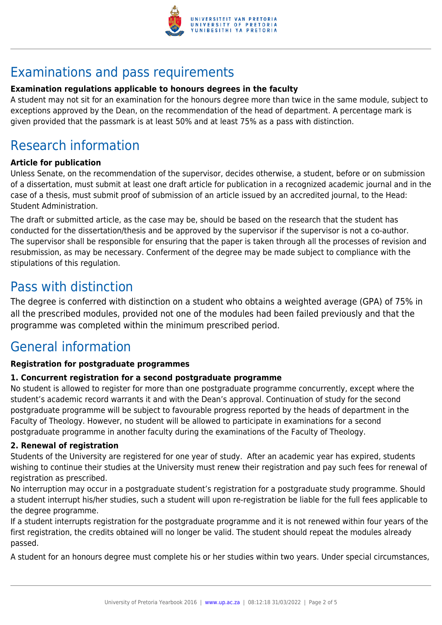

# Examinations and pass requirements

#### **Examination regulations applicable to honours degrees in the faculty**

A student may not sit for an examination for the honours degree more than twice in the same module, subject to exceptions approved by the Dean, on the recommendation of the head of department. A percentage mark is given provided that the passmark is at least 50% and at least 75% as a pass with distinction.

# Research information

#### **Article for publication**

Unless Senate, on the recommendation of the supervisor, decides otherwise, a student, before or on submission of a dissertation, must submit at least one draft article for publication in a recognized academic journal and in the case of a thesis, must submit proof of submission of an article issued by an accredited journal, to the Head: Student Administration.

The draft or submitted article, as the case may be, should be based on the research that the student has conducted for the dissertation/thesis and be approved by the supervisor if the supervisor is not a co-author. The supervisor shall be responsible for ensuring that the paper is taken through all the processes of revision and resubmission, as may be necessary. Conferment of the degree may be made subject to compliance with the stipulations of this regulation.

## Pass with distinction

The degree is conferred with distinction on a student who obtains a weighted average (GPA) of 75% in all the prescribed modules, provided not one of the modules had been failed previously and that the programme was completed within the minimum prescribed period.

# General information

#### **Registration for postgraduate programmes**

#### **1. Concurrent registration for a second postgraduate programme**

No student is allowed to register for more than one postgraduate programme concurrently, except where the student's academic record warrants it and with the Dean's approval. Continuation of study for the second postgraduate programme will be subject to favourable progress reported by the heads of department in the Faculty of Theology. However, no student will be allowed to participate in examinations for a second postgraduate programme in another faculty during the examinations of the Faculty of Theology.

#### **2. Renewal of registration**

Students of the University are registered for one year of study. After an academic year has expired, students wishing to continue their studies at the University must renew their registration and pay such fees for renewal of registration as prescribed.

No interruption may occur in a postgraduate student's registration for a postgraduate study programme. Should a student interrupt his/her studies, such a student will upon re-registration be liable for the full fees applicable to the degree programme.

If a student interrupts registration for the postgraduate programme and it is not renewed within four years of the first registration, the credits obtained will no longer be valid. The student should repeat the modules already passed.

A student for an honours degree must complete his or her studies within two years. Under special circumstances,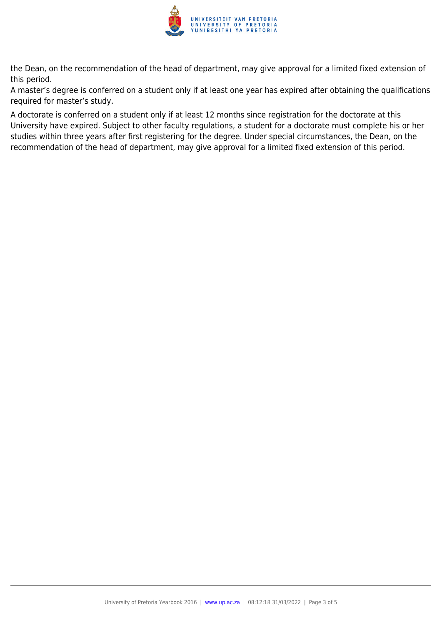

the Dean, on the recommendation of the head of department, may give approval for a limited fixed extension of this period.

A master's degree is conferred on a student only if at least one year has expired after obtaining the qualifications required for master's study.

A doctorate is conferred on a student only if at least 12 months since registration for the doctorate at this University have expired. Subject to other faculty regulations, a student for a doctorate must complete his or her studies within three years after first registering for the degree. Under special circumstances, the Dean, on the recommendation of the head of department, may give approval for a limited fixed extension of this period.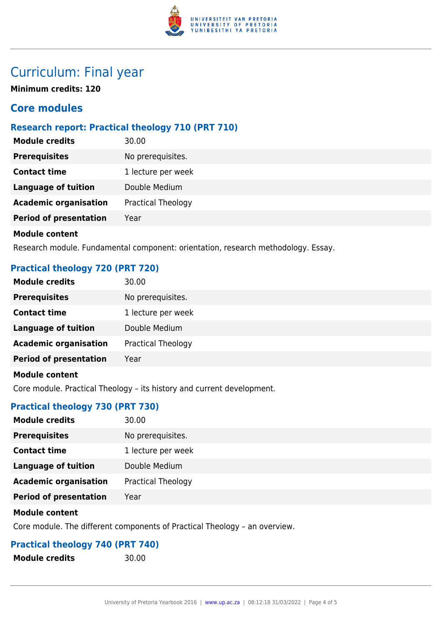

## Curriculum: Final year

**Minimum credits: 120**

#### **Core modules**

#### **Research report: Practical theology 710 (PRT 710)**

| <b>Module credits</b>         | 30.00                     |
|-------------------------------|---------------------------|
| <b>Prerequisites</b>          | No prerequisites.         |
| <b>Contact time</b>           | 1 lecture per week        |
| <b>Language of tuition</b>    | Double Medium             |
| <b>Academic organisation</b>  | <b>Practical Theology</b> |
| <b>Period of presentation</b> | Year                      |
| <b>Module content</b>         |                           |

Research module. Fundamental component: orientation, research methodology. Essay.

#### **Practical theology 720 (PRT 720)**

| <b>Module credits</b>         | 30.00                     |
|-------------------------------|---------------------------|
| <b>Prerequisites</b>          | No prerequisites.         |
| <b>Contact time</b>           | 1 lecture per week        |
| <b>Language of tuition</b>    | Double Medium             |
| <b>Academic organisation</b>  | <b>Practical Theology</b> |
| <b>Period of presentation</b> | Year                      |
| <b>Module content</b>         |                           |

Core module. Practical Theology – its history and current development.

#### **Practical theology 730 (PRT 730)**

| <b>Module credits</b>         | 30.00              |
|-------------------------------|--------------------|
| <b>Prerequisites</b>          | No prerequisites.  |
| <b>Contact time</b>           | 1 lecture per week |
| <b>Language of tuition</b>    | Double Medium      |
| <b>Academic organisation</b>  | Practical Theology |
| <b>Period of presentation</b> | Year               |
|                               |                    |

#### **Module content**

Core module. The different components of Practical Theology – an overview.

#### **Practical theology 740 (PRT 740)**

- **Module credits** 30.00
-